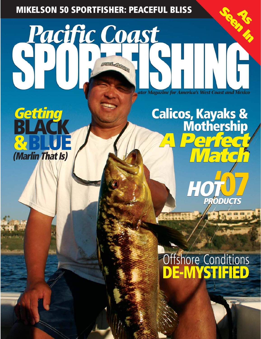### **MIKELSON 50 SPORTFISHER: PEACEFUL BLISS**

*ater Magazine for America's West Coast and Mexico*

## **Getting BLACK &BLUE (Marlin That Is)**

# **HOT'07 A Perfect Match Calicos, Kayaks & Mothership APPORTFISHER: PEACEFUL BLISS**<br> **APPORT COOST**<br>
Calicos, Kayaks & Mothership<br>
Calicos, Kayaks & Mothership<br>
Calicos, Kayaks & Mothership

# **DE-MYSTIFIED Ottshore Conditions**

DECEMBER 2005 | **PACIFIC COAST SPORTFISHING** | **70** 

**PCS PCS** USA \$6.95 / CANADA \$8.25 / CANADA \$8.25 / CANADA \$8.25 / CANADA \$8.25 / CANADA \$8.25 / CANADA \$8.25 / CANADA \$

**PRODUCTS**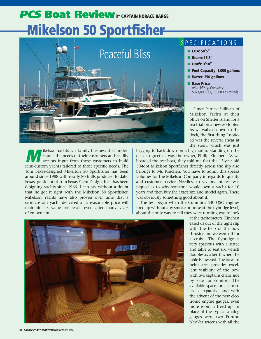# **PCS Boat Review** BY CAPTAIN HORACE BARGE **Mikelson 50 Sportfisher**



#### SPECIFICATIONS

- **LOA: 50'5"**
- **Beam: 16'8"**
- **Draft: 3'10"**
- **Fuel Capacity: 1,000 gallons**
- **Water: 250 gallons**
- **Base Price**  with 540 hp Cummins: \$971,000 (\$1,100,000 as tested)

I met Patrick Sullivan of Mikelson Yachts at their office on Shelter Island for a sea trial on a new 50-footer. As we walked down to the dock, the first thing I noticed was the reverse shear at the stern, which was just

**Marked School Yachts is a family business that under-<br>stands the needs of their customers and readily<br>accepts input from those customers to build** stands the needs of their customers and readily accepts input from those customers to build semi-custom yachts tailored to those specific needs. The Tom Fexas-designed Mikelson 50 Sportfisher has been around since 1988 with nearly 80 hulls produced to date. Fexas, president of Tom Fexas Yacht Design, Inc., has been designing yachts since 1966. I can say without a doubt that he got it right with the Mikelson 50 Sportfisher. Mikelson Yachts have also proven over time that a semi-custom yacht delivered at a reasonable price will maintain its value for resale even after many years of enjoyment.

begging to back down on a big marlin. Standing on the deck to greet us was the owner, Philip Kinchen. As we boarded the test boat, they told me that the 12-year old 50-foot Mikelson Sportfisher directly across the slip also belongs to Mr. Kinchen. You have to admit this speaks volumes for the Mikelson Company in regards to quality and customer service. Needless to say my interest was piqued as to why someone would own a yacht for 10 years and then buy the exact size and model again. There was obviously something good about it.

The test began when the Cummins 540 QSC engines fired up without any smoke or noise at the flybridge level, about the only way to tell they were running was to look



at the tachometers. Kinchen eased us out of the tight slip with the help of the bow thruster and we were off for a cruise. The flybridge is very spacious with a settee and table to seat six, which doubles as a berth when the table is lowered. The forward helm area provides excellent visibility of the bow with two captains chairs side by side for comfort. The available space for electronics is expansive and with the advent of the new electronic engine gauges, even more room is freed up. In place of the typical analog gauges were two Furuno NavNet screens with all the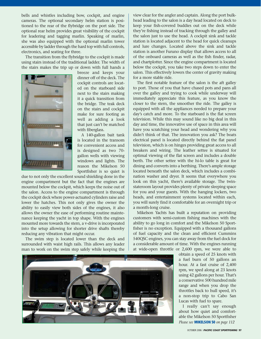bells and whistles including bow, cockpit, and engine cameras. The optional secondary helm station is positioned to the rear of the flybridge on the port side. The optional rear helm provides great visibility of the cockpit for leadering and tagging marlin. Speaking of marlin, she was also equipped with the optional marlin tower accessible by ladder through the hard top with full controls, electronics, and seating for three.

The transition from the flybridge to the cockpit is made using stairs instead of the traditional ladder. The width of the stairs makes the trip up or down with full hands a



breeze and keeps your dinner off of the deck. The cockpit controls are located on the starboard side next to the stairs making it a quick transition from the bridge. The teak deck on the stairs and cockpit make for sure footing as well as adding a look that just can't be matched with fiberglass.

A 140-gallon bait tank is located in the transom for convenient access and is designed as two 70 gallon wells with viewing windows and lights. The reason the Mikelson 50 Sportfisher is so quiet is

due to not only the excellent sound shielding done in the engine compartment but the fact that the engines are mounted below the cockpit, which keeps the noise out of the salon. Access to the engine compartment is through the cockpit deck where power-actuated cylinders raise and lower the hatches. This not only gives the owner the ability to easily view both sides of the engines, it also allows the owner the ease of performing routine maintenance keeping the yacht in top shape. With the engines mounted more towards the stern, a v-drive is incorporated into the setup allowing for shorter drive shafts thereby reducing any vibration that might occur.

The swim step is located lower than the deck and surrounded with waist high rails. This allows any leader man to work on the swim step safely while keeping the view clear for the angler and captain. Along the port bulkhead leading to the salon is a day head located on deck to keep your fish-covered buddies out on the deck while they're fishing instead of tracking through the galley and the salon just to use the head. A cockpit sink and tackle station is located adjacent to the head for quick cleanups and lure changes. Located above the sink and tackle station is another Furuno display that allows access to all of the onboard cameras as well as the fish finder, radar, and chartplotter. Since the engine compartment is located below the cockpit, you take two steps down to enter the salon. This effectively lowers the center of gravity making for a more stable ride.

**PCS BOAT REVIEW** 

The first notable feature of the salon is the aft galley to port. Those of you that have chased pots and pans all over the galley and trying to cook while underway will immediately appreciate this feature, as you know the closer to the stern, the smoother the ride. The galley is equipped with all the appliances needed to prepare your day's catch and more. To the starboard is the flat screen television. While this may sound like no big deal in this day and time, the innovative use of space in this area will have you scratching your head and wondering why you didn't think of that. The innovation you ask? The boats electrical panel is located directly behind the flat panel television, which is on hinges providing great access to all breakers and wiring. The leather settee is situated for optimal viewing of the flat screen and includes a double berth. The other settee with the hi-lo table is great for dining and converts into a berthing. There's ample storage located beneath the salon deck, which includes a combination washer and dryer. It seems that everywhere you look on this yacht, there's available storage. The twinstateroom layout provides plenty of private sleeping space for you and your guests. With the hanging lockers, two heads, and entertainment systems located within each, you will surely find it comfortable for an overnight trip or a month-long cruise.

Mikelson Yachts has built a reputation on providing customers with semi-custom fishing machines with the ability to go long in comfort and the Mikelson 50 Sportfisher is no exception. Equipped with a thousand gallons of fuel capacity and the clean and efficient Cummins 540QSC engines, you can stay away from the fuel dock for a considerable amount of time. With the engines running at wide-open throttle or 2,600 rpm, we were able to



obtain a speed of 25 knots with a fuel burn of 50 gallons an hour. At a fast cruise of 2,400 rpm, we sped along at 23 knots using 42 gallons per hour. That's a conservative 500 hundred mile range and when you drop the throttles back to hull speed, it's a non-stop trip to Cabo San Lucas with fuel to spare.

I really can't say enough about how quiet and comfortable the Mikelson 50 Sportfisher *Please see* **MIKELSON 50** *on page 112*